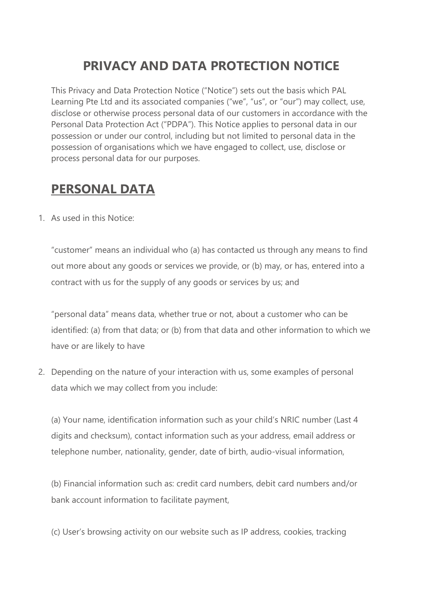# **PRIVACY AND DATA PROTECTION NOTICE**

This Privacy and Data Protection Notice ("Notice") sets out the basis which PAL Learning Pte Ltd and its associated companies ("we", "us", or "our") may collect, use, disclose or otherwise process personal data of our customers in accordance with the Personal Data Protection Act ("PDPA"). This Notice applies to personal data in our possession or under our control, including but not limited to personal data in the possession of organisations which we have engaged to collect, use, disclose or process personal data for our purposes.

#### **PERSONAL DATA**

1. As used in this Notice:

"customer" means an individual who (a) has contacted us through any means to find out more about any goods or services we provide, or (b) may, or has, entered into a contract with us for the supply of any goods or services by us; and

"personal data" means data, whether true or not, about a customer who can be identified: (a) from that data; or (b) from that data and other information to which we have or are likely to have

2. Depending on the nature of your interaction with us, some examples of personal data which we may collect from you include:

(a) Your name, identification information such as your child's NRIC number (Last 4 digits and checksum), contact information such as your address, email address or telephone number, nationality, gender, date of birth, audio-visual information,

(b) Financial information such as: credit card numbers, debit card numbers and/or bank account information to facilitate payment,

(c) User's browsing activity on our website such as IP address, cookies, tracking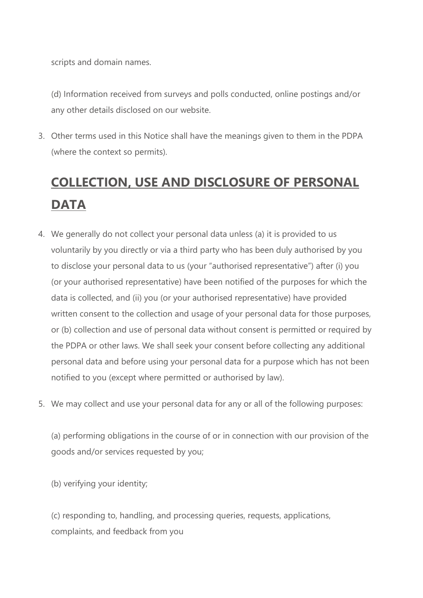scripts and domain names.

(d) Information received from surveys and polls conducted, online postings and/or any other details disclosed on our website.

3. Other terms used in this Notice shall have the meanings given to them in the PDPA (where the context so permits).

# **COLLECTION, USE AND DISCLOSURE OF PERSONAL DATA**

- 4. We generally do not collect your personal data unless (a) it is provided to us voluntarily by you directly or via a third party who has been duly authorised by you to disclose your personal data to us (your "authorised representative") after (i) you (or your authorised representative) have been notified of the purposes for which the data is collected, and (ii) you (or your authorised representative) have provided written consent to the collection and usage of your personal data for those purposes, or (b) collection and use of personal data without consent is permitted or required by the PDPA or other laws. We shall seek your consent before collecting any additional personal data and before using your personal data for a purpose which has not been notified to you (except where permitted or authorised by law).
- 5. We may collect and use your personal data for any or all of the following purposes:

(a) performing obligations in the course of or in connection with our provision of the goods and/or services requested by you;

(b) verifying your identity;

(c) responding to, handling, and processing queries, requests, applications, complaints, and feedback from you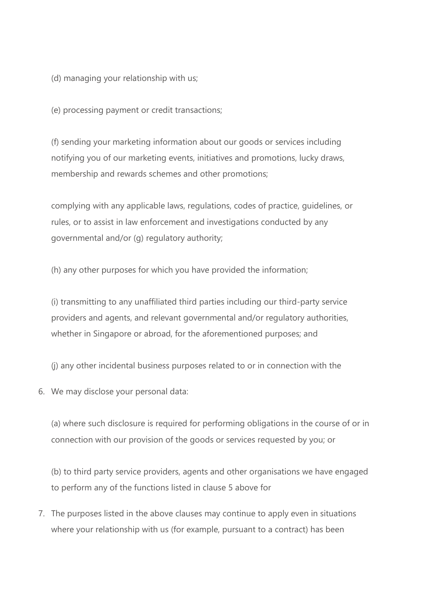(d) managing your relationship with us;

(e) processing payment or credit transactions;

(f) sending your marketing information about our goods or services including notifying you of our marketing events, initiatives and promotions, lucky draws, membership and rewards schemes and other promotions;

complying with any applicable laws, regulations, codes of practice, guidelines, or rules, or to assist in law enforcement and investigations conducted by any governmental and/or (g) regulatory authority;

(h) any other purposes for which you have provided the information;

(i) transmitting to any unaffiliated third parties including our third-party service providers and agents, and relevant governmental and/or regulatory authorities, whether in Singapore or abroad, for the aforementioned purposes; and

(j) any other incidental business purposes related to or in connection with the

6. We may disclose your personal data:

(a) where such disclosure is required for performing obligations in the course of or in connection with our provision of the goods or services requested by you; or

(b) to third party service providers, agents and other organisations we have engaged to perform any of the functions listed in clause 5 above for

7. The purposes listed in the above clauses may continue to apply even in situations where your relationship with us (for example, pursuant to a contract) has been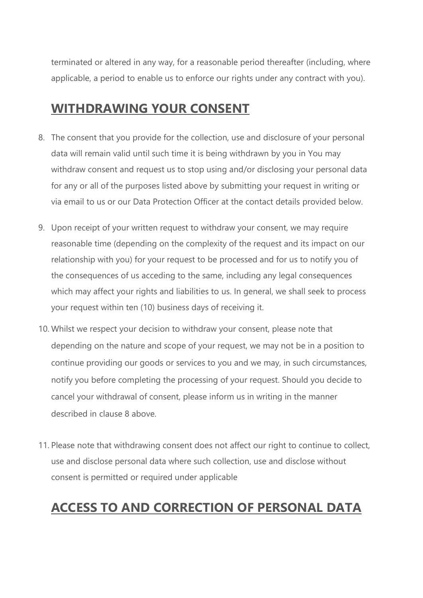terminated or altered in any way, for a reasonable period thereafter (including, where applicable, a period to enable us to enforce our rights under any contract with you).

#### **WITHDRAWING YOUR CONSENT**

- 8. The consent that you provide for the collection, use and disclosure of your personal data will remain valid until such time it is being withdrawn by you in You may withdraw consent and request us to stop using and/or disclosing your personal data for any or all of the purposes listed above by submitting your request in writing or via email to us or our Data Protection Officer at the contact details provided below.
- 9. Upon receipt of your written request to withdraw your consent, we may require reasonable time (depending on the complexity of the request and its impact on our relationship with you) for your request to be processed and for us to notify you of the consequences of us acceding to the same, including any legal consequences which may affect your rights and liabilities to us. In general, we shall seek to process your request within ten (10) business days of receiving it.
- 10. Whilst we respect your decision to withdraw your consent, please note that depending on the nature and scope of your request, we may not be in a position to continue providing our goods or services to you and we may, in such circumstances, notify you before completing the processing of your request. Should you decide to cancel your withdrawal of consent, please inform us in writing in the manner described in clause 8 above.
- 11. Please note that withdrawing consent does not affect our right to continue to collect, use and disclose personal data where such collection, use and disclose without consent is permitted or required under applicable

# **ACCESS TO AND CORRECTION OF PERSONAL DATA**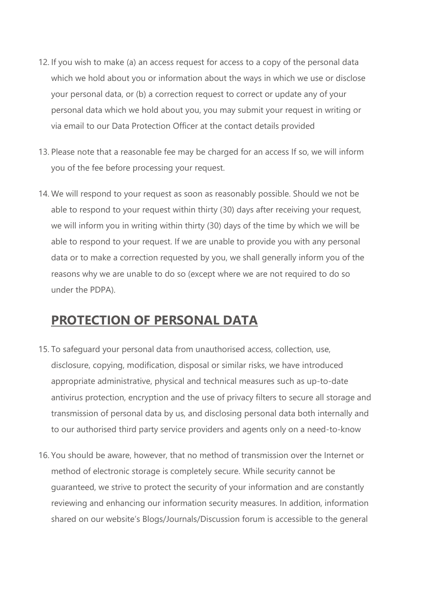- 12. If you wish to make (a) an access request for access to a copy of the personal data which we hold about you or information about the ways in which we use or disclose your personal data, or (b) a correction request to correct or update any of your personal data which we hold about you, you may submit your request in writing or via email to our Data Protection Officer at the contact details provided
- 13. Please note that a reasonable fee may be charged for an access If so, we will inform you of the fee before processing your request.
- 14. We will respond to your request as soon as reasonably possible. Should we not be able to respond to your request within thirty (30) days after receiving your request, we will inform you in writing within thirty (30) days of the time by which we will be able to respond to your request. If we are unable to provide you with any personal data or to make a correction requested by you, we shall generally inform you of the reasons why we are unable to do so (except where we are not required to do so under the PDPA).

#### **PROTECTION OF PERSONAL DATA**

- 15. To safeguard your personal data from unauthorised access, collection, use, disclosure, copying, modification, disposal or similar risks, we have introduced appropriate administrative, physical and technical measures such as up-to-date antivirus protection, encryption and the use of privacy filters to secure all storage and transmission of personal data by us, and disclosing personal data both internally and to our authorised third party service providers and agents only on a need-to-know
- 16. You should be aware, however, that no method of transmission over the Internet or method of electronic storage is completely secure. While security cannot be guaranteed, we strive to protect the security of your information and are constantly reviewing and enhancing our information security measures. In addition, information shared on our website's Blogs/Journals/Discussion forum is accessible to the general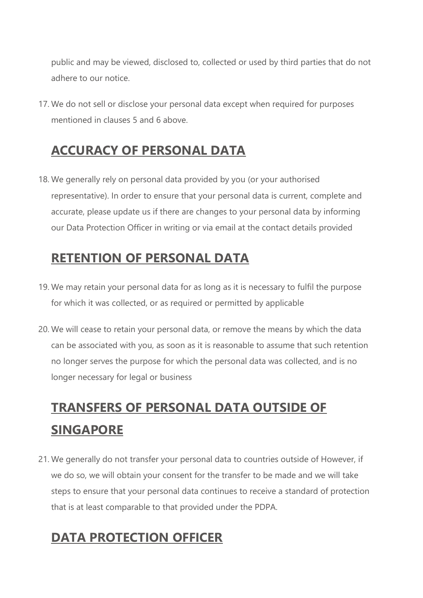public and may be viewed, disclosed to, collected or used by third parties that do not adhere to our notice.

17. We do not sell or disclose your personal data except when required for purposes mentioned in clauses 5 and 6 above.

#### **ACCURACY OF PERSONAL DATA**

18. We generally rely on personal data provided by you (or your authorised representative). In order to ensure that your personal data is current, complete and accurate, please update us if there are changes to your personal data by informing our Data Protection Officer in writing or via email at the contact details provided

#### **RETENTION OF PERSONAL DATA**

- 19. We may retain your personal data for as long as it is necessary to fulfil the purpose for which it was collected, or as required or permitted by applicable
- 20. We will cease to retain your personal data, or remove the means by which the data can be associated with you, as soon as it is reasonable to assume that such retention no longer serves the purpose for which the personal data was collected, and is no longer necessary for legal or business

# **TRANSFERS OF PERSONAL DATA OUTSIDE OF SINGAPORE**

21. We generally do not transfer your personal data to countries outside of However, if we do so, we will obtain your consent for the transfer to be made and we will take steps to ensure that your personal data continues to receive a standard of protection that is at least comparable to that provided under the PDPA.

### **DATA PROTECTION OFFICER**